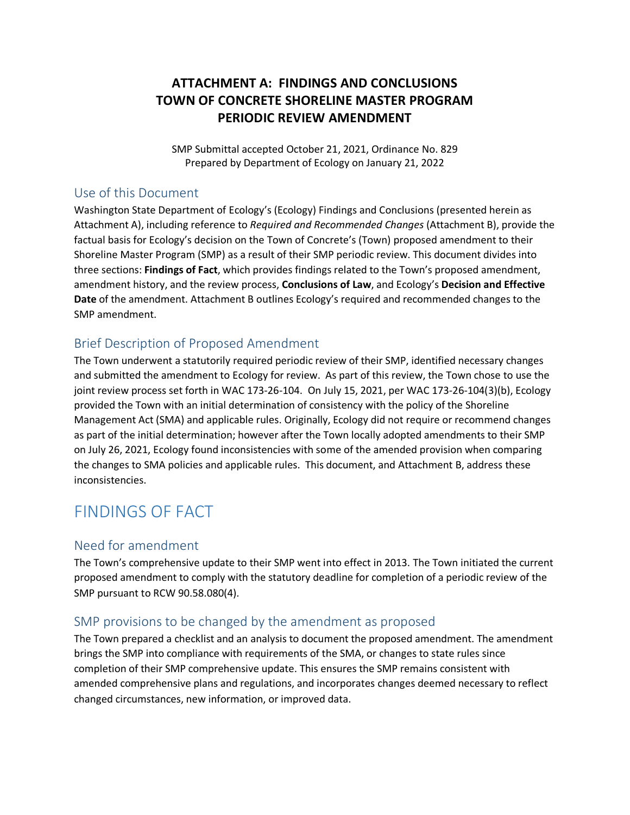# **ATTACHMENT A: FINDINGS AND CONCLUSIONS TOWN OF CONCRETE SHORELINE MASTER PROGRAM PERIODIC REVIEW AMENDMENT**

SMP Submittal accepted October 21, 2021, Ordinance No. 829 Prepared by Department of Ecology on January 21, 2022

## Use of this Document

Washington State Department of Ecology's (Ecology) Findings and Conclusions (presented herein as Attachment A), including reference to *Required and Recommended Changes* (Attachment B), provide the factual basis for Ecology's decision on the Town of Concrete's (Town) proposed amendment to their Shoreline Master Program (SMP) as a result of their SMP periodic review. This document divides into three sections: **Findings of Fact**, which provides findings related to the Town's proposed amendment, amendment history, and the review process, **Conclusions of Law**, and Ecology's **Decision and Effective Date** of the amendment. Attachment B outlines Ecology's required and recommended changes to the SMP amendment.

# Brief Description of Proposed Amendment

The Town underwent a statutorily required periodic review of their SMP, identified necessary changes and submitted the amendment to Ecology for review. As part of this review, the Town chose to use the joint review process set forth in WAC 173-26-104. On July 15, 2021, per WAC 173-26-104(3)(b), Ecology provided the Town with an initial determination of consistency with the policy of the Shoreline Management Act (SMA) and applicable rules. Originally, Ecology did not require or recommend changes as part of the initial determination; however after the Town locally adopted amendments to their SMP on July 26, 2021, Ecology found inconsistencies with some of the amended provision when comparing the changes to SMA policies and applicable rules. This document, and Attachment B, address these inconsistencies.

# FINDINGS OF FACT

## Need for amendment

The Town's comprehensive update to their SMP went into effect in 2013. The Town initiated the current proposed amendment to comply with the statutory deadline for completion of a periodic review of the SMP pursuant to RCW 90.58.080(4).

## SMP provisions to be changed by the amendment as proposed

The Town prepared a checklist and an analysis to document the proposed amendment. The amendment brings the SMP into compliance with requirements of the SMA, or changes to state rules since completion of their SMP comprehensive update. This ensures the SMP remains consistent with amended comprehensive plans and regulations, and incorporates changes deemed necessary to reflect changed circumstances, new information, or improved data.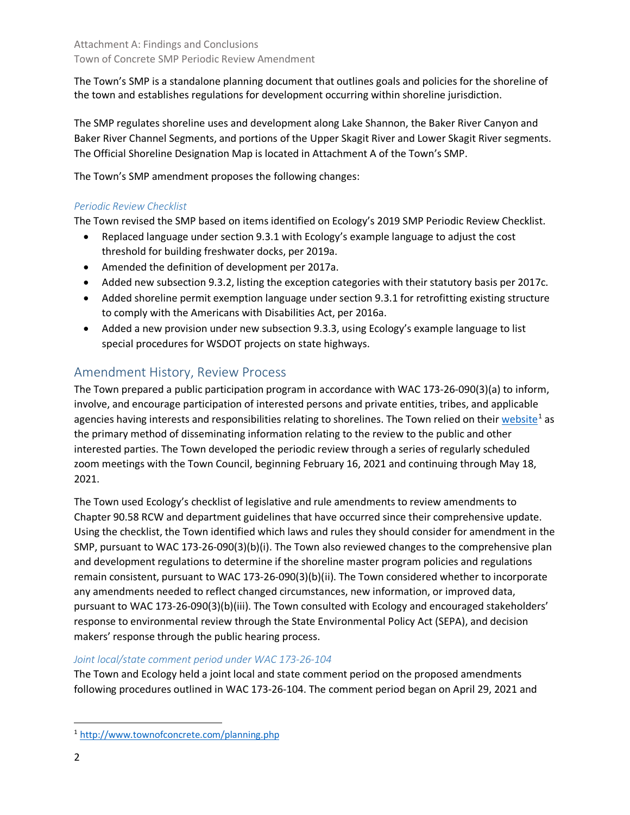The Town's SMP is a standalone planning document that outlines goals and policies for the shoreline of the town and establishes regulations for development occurring within shoreline jurisdiction.

The SMP regulates shoreline uses and development along Lake Shannon, the Baker River Canyon and Baker River Channel Segments, and portions of the Upper Skagit River and Lower Skagit River segments. The Official Shoreline Designation Map is located in Attachment A of the Town's SMP.

The Town's SMP amendment proposes the following changes:

## *Periodic Review Checklist*

The Town revised the SMP based on items identified on Ecology's 2019 SMP Periodic Review Checklist.

- Replaced language under section 9.3.1 with Ecology's example language to adjust the cost threshold for building freshwater docks, per 2019a.
- Amended the definition of development per 2017a.
- Added new subsection 9.3.2, listing the exception categories with their statutory basis per 2017c.
- Added shoreline permit exemption language under section 9.3.1 for retrofitting existing structure to comply with the Americans with Disabilities Act, per 2016a.
- Added a new provision under new subsection 9.3.3, using Ecology's example language to list special procedures for WSDOT projects on state highways.

# Amendment History, Review Process

The Town prepared a public participation program in accordance with WAC 173-26-090(3)(a) to inform, involve, and encourage participation of interested persons and private entities, tribes, and applicable agencies having interests and responsibilities relating to shorelines. The Town relied on thei[r website](http://www.townofconcrete.com/planning.php)<sup>[1](#page-1-0)</sup> as the primary method of disseminating information relating to the review to the public and other interested parties. The Town developed the periodic review through a series of regularly scheduled zoom meetings with the Town Council, beginning February 16, 2021 and continuing through May 18, 2021.

The Town used Ecology's checklist of legislative and rule amendments to review amendments to Chapter 90.58 RCW and department guidelines that have occurred since their comprehensive update. Using the checklist, the Town identified which laws and rules they should consider for amendment in the SMP, pursuant to WAC 173-26-090(3)(b)(i). The Town also reviewed changes to the comprehensive plan and development regulations to determine if the shoreline master program policies and regulations remain consistent, pursuant to WAC 173-26-090(3)(b)(ii). The Town considered whether to incorporate any amendments needed to reflect changed circumstances, new information, or improved data, pursuant to WAC 173-26-090(3)(b)(iii). The Town consulted with Ecology and encouraged stakeholders' response to environmental review through the State Environmental Policy Act (SEPA), and decision makers' response through the public hearing process.

## *Joint local/state comment period under WAC 173-26-104*

The Town and Ecology held a joint local and state comment period on the proposed amendments following procedures outlined in WAC 173-26-104. The comment period began on April 29, 2021 and

<span id="page-1-0"></span> <sup>1</sup> <http://www.townofconcrete.com/planning.php>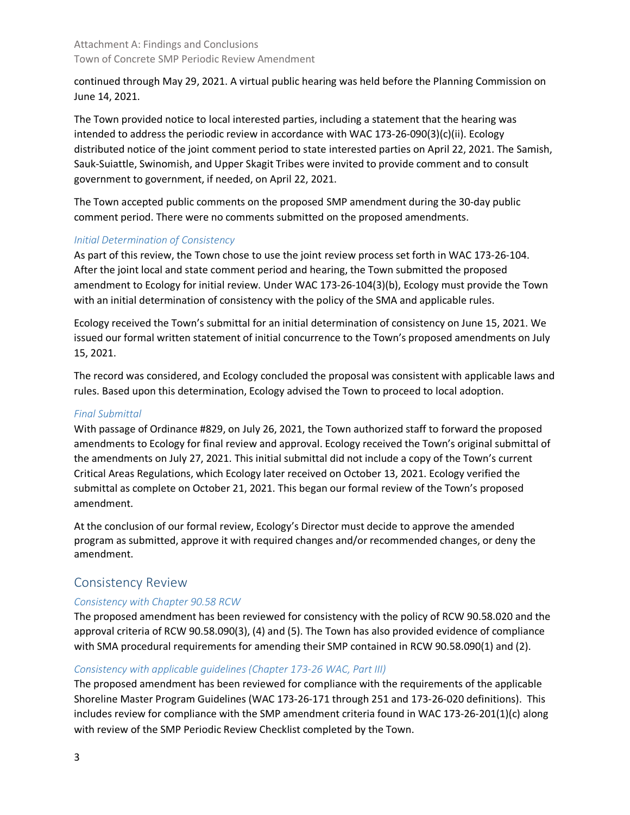continued through May 29, 2021. A virtual public hearing was held before the Planning Commission on June 14, 2021.

The Town provided notice to local interested parties, including a statement that the hearing was intended to address the periodic review in accordance with WAC 173-26-090(3)(c)(ii). Ecology distributed notice of the joint comment period to state interested parties on April 22, 2021. The Samish, Sauk-Suiattle, Swinomish, and Upper Skagit Tribes were invited to provide comment and to consult government to government, if needed, on April 22, 2021.

The Town accepted public comments on the proposed SMP amendment during the 30-day public comment period. There were no comments submitted on the proposed amendments.

#### *Initial Determination of Consistency*

As part of this review, the Town chose to use the joint review process set forth in WAC 173-26-104. After the joint local and state comment period and hearing, the Town submitted the proposed amendment to Ecology for initial review. Under WAC 173-26-104(3)(b), Ecology must provide the Town with an initial determination of consistency with the policy of the SMA and applicable rules.

Ecology received the Town's submittal for an initial determination of consistency on June 15, 2021. We issued our formal written statement of initial concurrence to the Town's proposed amendments on July 15, 2021.

The record was considered, and Ecology concluded the proposal was consistent with applicable laws and rules. Based upon this determination, Ecology advised the Town to proceed to local adoption.

#### *Final Submittal*

With passage of Ordinance #829, on July 26, 2021, the Town authorized staff to forward the proposed amendments to Ecology for final review and approval. Ecology received the Town's original submittal of the amendments on July 27, 2021. This initial submittal did not include a copy of the Town's current Critical Areas Regulations, which Ecology later received on October 13, 2021. Ecology verified the submittal as complete on October 21, 2021. This began our formal review of the Town's proposed amendment.

At the conclusion of our formal review, Ecology's Director must decide to approve the amended program as submitted, approve it with required changes and/or recommended changes, or deny the amendment.

# Consistency Review

#### *Consistency with Chapter 90.58 RCW*

The proposed amendment has been reviewed for consistency with the policy of RCW 90.58.020 and the approval criteria of RCW 90.58.090(3), (4) and (5). The Town has also provided evidence of compliance with SMA procedural requirements for amending their SMP contained in RCW 90.58.090(1) and (2).

#### *Consistency with applicable guidelines (Chapter 173-26 WAC, Part III)*

The proposed amendment has been reviewed for compliance with the requirements of the applicable Shoreline Master Program Guidelines (WAC 173-26-171 through 251 and 173-26-020 definitions). This includes review for compliance with the SMP amendment criteria found in WAC 173-26-201(1)(c) along with review of the SMP Periodic Review Checklist completed by the Town.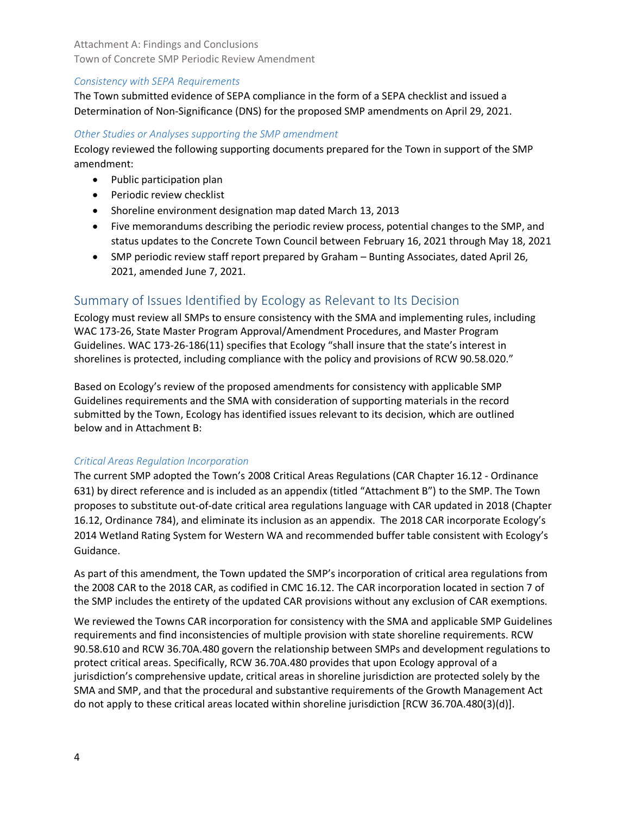#### *Consistency with SEPA Requirements*

The Town submitted evidence of SEPA compliance in the form of a SEPA checklist and issued a Determination of Non-Significance (DNS) for the proposed SMP amendments on April 29, 2021.

#### *Other Studies or Analyses supporting the SMP amendment*

Ecology reviewed the following supporting documents prepared for the Town in support of the SMP amendment:

- Public participation plan
- Periodic review checklist
- Shoreline environment designation map dated March 13, 2013
- Five memorandums describing the periodic review process, potential changes to the SMP, and status updates to the Concrete Town Council between February 16, 2021 through May 18, 2021
- SMP periodic review staff report prepared by Graham Bunting Associates, dated April 26, 2021, amended June 7, 2021.

# Summary of Issues Identified by Ecology as Relevant to Its Decision

Ecology must review all SMPs to ensure consistency with the SMA and implementing rules, including WAC 173-26, State Master Program Approval/Amendment Procedures, and Master Program Guidelines. WAC 173-26-186(11) specifies that Ecology "shall insure that the state's interest in shorelines is protected, including compliance with the policy and provisions of RCW 90.58.020."

Based on Ecology's review of the proposed amendments for consistency with applicable SMP Guidelines requirements and the SMA with consideration of supporting materials in the record submitted by the Town, Ecology has identified issues relevant to its decision, which are outlined below and in Attachment B:

#### *Critical Areas Regulation Incorporation*

The current SMP adopted the Town's 2008 Critical Areas Regulations (CAR Chapter 16.12 - Ordinance 631) by direct reference and is included as an appendix (titled "Attachment B") to the SMP. The Town proposes to substitute out-of-date critical area regulations language with CAR updated in 2018 (Chapter 16.12, Ordinance 784), and eliminate its inclusion as an appendix. The 2018 CAR incorporate Ecology's 2014 Wetland Rating System for Western WA and recommended buffer table consistent with Ecology's Guidance.

As part of this amendment, the Town updated the SMP's incorporation of critical area regulations from the 2008 CAR to the 2018 CAR, as codified in CMC 16.12. The CAR incorporation located in section 7 of the SMP includes the entirety of the updated CAR provisions without any exclusion of CAR exemptions.

We reviewed the Towns CAR incorporation for consistency with the SMA and applicable SMP Guidelines requirements and find inconsistencies of multiple provision with state shoreline requirements. RCW 90.58.610 and RCW 36.70A.480 govern the relationship between SMPs and development regulations to protect critical areas. Specifically, RCW 36.70A.480 provides that upon Ecology approval of a jurisdiction's comprehensive update, critical areas in shoreline jurisdiction are protected solely by the SMA and SMP, and that the procedural and substantive requirements of the Growth Management Act do not apply to these critical areas located within shoreline jurisdiction [RCW 36.70A.480(3)(d)].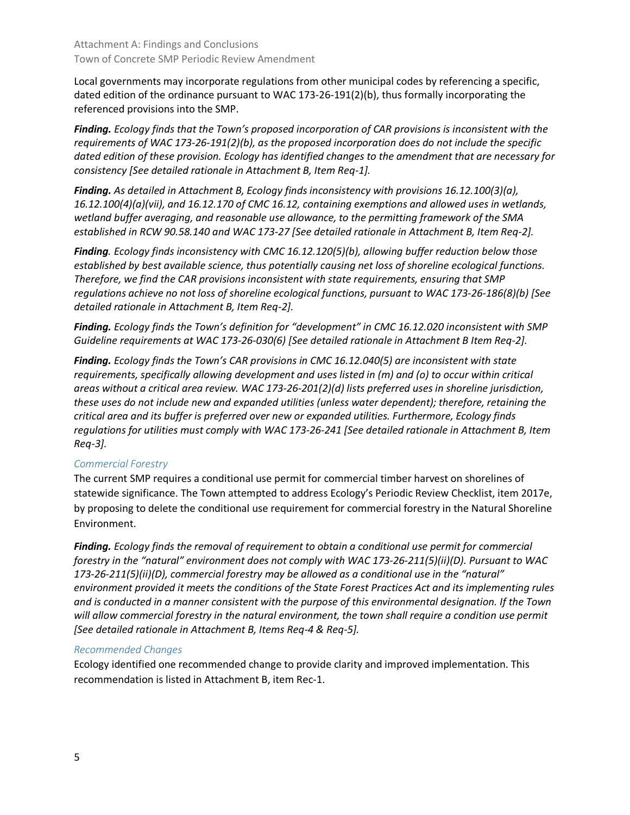Local governments may incorporate regulations from other municipal codes by referencing a specific, dated edition of the ordinance pursuant to WAC 173-26-191(2)(b), thus formally incorporating the referenced provisions into the SMP.

*Finding. Ecology finds that the Town's proposed incorporation of CAR provisions is inconsistent with the requirements of WAC 173-26-191(2)(b), as the proposed incorporation does do not include the specific dated edition of these provision. Ecology has identified changes to the amendment that are necessary for consistency [See detailed rationale in Attachment B, Item Req-1].*

*Finding. As detailed in Attachment B, Ecology finds inconsistency with provisions 16.12.100(3)(a), 16.12.100(4)(a)(vii), and 16.12.170 of CMC 16.12, containing exemptions and allowed uses in wetlands, wetland buffer averaging, and reasonable use allowance, to the permitting framework of the SMA established in RCW 90.58.140 and WAC 173-27 [See detailed rationale in Attachment B, Item Req-2].* 

*Finding. Ecology finds inconsistency with CMC 16.12.120(5)(b), allowing buffer reduction below those established by best available science, thus potentially causing net loss of shoreline ecological functions. Therefore, we find the CAR provisions inconsistent with state requirements, ensuring that SMP regulations achieve no not loss of shoreline ecological functions, pursuant to WAC 173-26-186(8)(b) [See detailed rationale in Attachment B, Item Req-2].* 

*Finding. Ecology finds the Town's definition for "development" in CMC 16.12.020 inconsistent with SMP Guideline requirements at WAC 173-26-030(6) [See detailed rationale in Attachment B Item Req-2].* 

*Finding. Ecology finds the Town's CAR provisions in CMC 16.12.040(5) are inconsistent with state requirements, specifically allowing development and uses listed in (m) and (o) to occur within critical areas without a critical area review. WAC 173-26-201(2)(d) lists preferred uses in shoreline jurisdiction, these uses do not include new and expanded utilities (unless water dependent); therefore, retaining the critical area and its buffer is preferred over new or expanded utilities. Furthermore, Ecology finds regulations for utilities must comply with WAC 173-26-241 [See detailed rationale in Attachment B, Item Req-3].*

#### *Commercial Forestry*

The current SMP requires a conditional use permit for commercial timber harvest on shorelines of statewide significance. The Town attempted to address Ecology's Periodic Review Checklist, item 2017e, by proposing to delete the conditional use requirement for commercial forestry in the Natural Shoreline Environment.

*Finding. Ecology finds the removal of requirement to obtain a conditional use permit for commercial forestry in the "natural" environment does not comply with WAC 173-26-211(5)(ii)(D). Pursuant to WAC 173-26-211(5)(ii)(D), commercial forestry may be allowed as a conditional use in the "natural" environment provided it meets the conditions of the State Forest Practices Act and its implementing rules and is conducted in a manner consistent with the purpose of this environmental designation. If the Town will allow commercial forestry in the natural environment, the town shall require a condition use permit [See detailed rationale in Attachment B, Items Req-4 & Req-5].* 

#### *Recommended Changes*

Ecology identified one recommended change to provide clarity and improved implementation. This recommendation is listed in Attachment B, item Rec-1.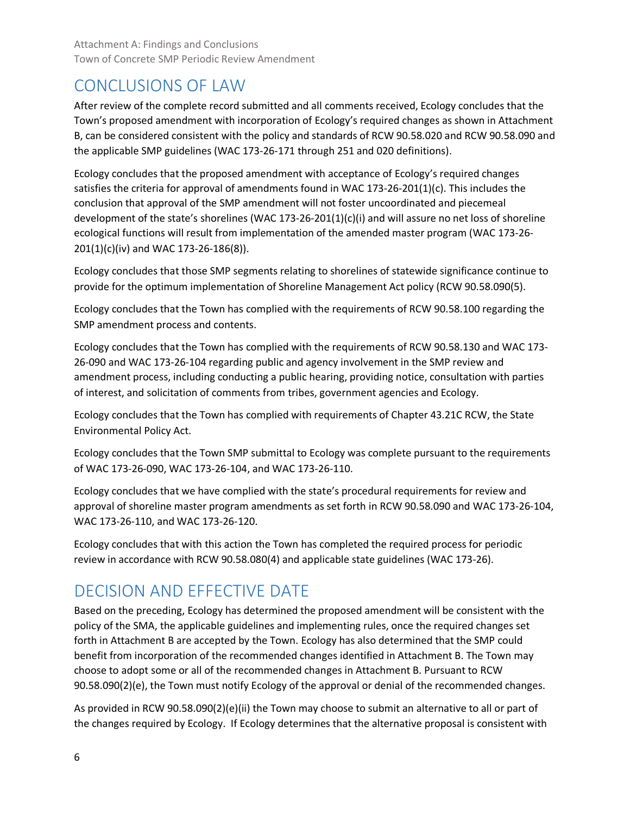# CONCLUSIONS OF LAW

After review of the complete record submitted and all comments received, Ecology concludes that the Town's proposed amendment with incorporation of Ecology's required changes as shown in Attachment B, can be considered consistent with the policy and standards of RCW 90.58.020 and RCW 90.58.090 and the applicable SMP guidelines (WAC 173-26-171 through 251 and 020 definitions).

Ecology concludes that the proposed amendment with acceptance of Ecology's required changes satisfies the criteria for approval of amendments found in WAC 173-26-201(1)(c). This includes the conclusion that approval of the SMP amendment will not foster uncoordinated and piecemeal development of the state's shorelines (WAC 173-26-201(1)(c)(i) and will assure no net loss of shoreline ecological functions will result from implementation of the amended master program (WAC 173-26- 201(1)(c)(iv) and WAC 173-26-186(8)).

Ecology concludes that those SMP segments relating to shorelines of statewide significance continue to provide for the optimum implementation of Shoreline Management Act policy (RCW 90.58.090(5).

Ecology concludes that the Town has complied with the requirements of RCW 90.58.100 regarding the SMP amendment process and contents.

Ecology concludes that the Town has complied with the requirements of RCW 90.58.130 and WAC 173- 26-090 and WAC 173-26-104 regarding public and agency involvement in the SMP review and amendment process, including conducting a public hearing, providing notice, consultation with parties of interest, and solicitation of comments from tribes, government agencies and Ecology.

Ecology concludes that the Town has complied with requirements of Chapter 43.21C RCW, the State Environmental Policy Act.

Ecology concludes that the Town SMP submittal to Ecology was complete pursuant to the requirements of WAC 173-26-090, WAC 173-26-104, and WAC 173-26-110.

Ecology concludes that we have complied with the state's procedural requirements for review and approval of shoreline master program amendments as set forth in RCW 90.58.090 and WAC 173-26-104, WAC 173-26-110, and WAC 173-26-120.

Ecology concludes that with this action the Town has completed the required process for periodic review in accordance with RCW 90.58.080(4) and applicable state guidelines (WAC 173-26).

# DECISION AND EFFECTIVE DATE

Based on the preceding, Ecology has determined the proposed amendment will be consistent with the policy of the SMA, the applicable guidelines and implementing rules, once the required changes set forth in Attachment B are accepted by the Town. Ecology has also determined that the SMP could benefit from incorporation of the recommended changes identified in Attachment B. The Town may choose to adopt some or all of the recommended changes in Attachment B. Pursuant to RCW 90.58.090(2)(e), the Town must notify Ecology of the approval or denial of the recommended changes.

As provided in RCW 90.58.090(2)(e)(ii) the Town may choose to submit an alternative to all or part of the changes required by Ecology. If Ecology determines that the alternative proposal is consistent with